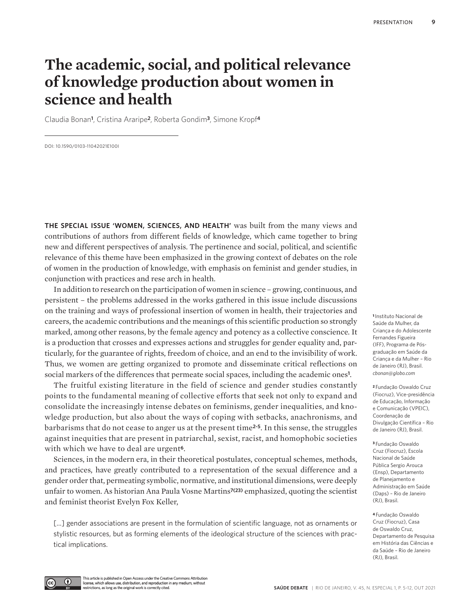## **The academic, social, and political relevance of knowledge production about women in science and health**

Claudia Bonan**<sup>1</sup>** , Cristina Araripe**2**, Roberta Gondim**3**, Simone Kropf**<sup>4</sup>**

DOI: 10.1590/0103-11042021E100I

**THE SPECIAL ISSUE 'WOMEN, SCIENCES, AND HEALTH'** was built from the many views and contributions of authors from different fields of knowledge, which came together to bring new and different perspectives of analysis. The pertinence and social, political, and scientific relevance of this theme have been emphasized in the growing context of debates on the role of women in the production of knowledge, with emphasis on feminist and gender studies, in conjunction with practices and rese arch in health.

In addition to research on the participation of women in science – growing, continuous, and persistent – the problems addressed in the works gathered in this issue include discussions on the training and ways of professional insertion of women in health, their trajectories and careers, the academic contributions and the meanings of this scientific production so strongly marked, among other reasons, by the female agency and potency as a collective conscience. It is a production that crosses and expresses actions and struggles for gender equality and, particularly, for the guarantee of rights, freedom of choice, and an end to the invisibility of work. Thus, we women are getting organized to promote and disseminate critical reflections on social markers of the differences that permeate social spaces, including the academic ones**<sup>1</sup>** .

The fruitful existing literature in the field of science and gender studies constantly points to the fundamental meaning of collective efforts that seek not only to expand and consolidate the increasingly intense debates on feminisms, gender inequalities, and knowledge production, but also about the ways of coping with setbacks, anachronisms, and barbarisms that do not cease to anger us at the present time**2-5**. In this sense, the struggles against inequities that are present in patriarchal, sexist, racist, and homophobic societies with which we have to deal are urgent**6**.

Sciences, in the modern era, in their theoretical postulates, conceptual schemes, methods, and practices, have greatly contributed to a representation of the sexual difference and a gender order that, permeating symbolic, normative, and institutional dimensions, were deeply unfair to women. As historian Ana Paula Vosne Martins**7(23)** emphasized, quoting the scientist and feminist theorist Evelyn Fox Keller,

[...] gender associations are present in the formulation of scientific language, not as ornaments or stylistic resources, but as forming elements of the ideological structure of the sciences with practical implications.

**<sup>1</sup>**Instituto Nacional de Saúde da Mulher, da Criança e do Adolescente Fernandes Figueira (IFF), Programa de Pósgraduação em Saúde da Criança e da Mulher – Rio de Janeiro (RJ), Brasil. *cbonan@globo.com*

**<sup>2</sup>**Fundação Oswaldo Cruz (Fiocruz), Vice-presidência de Educação, Informação e Comunicação (VPEIC), Coordenação de Divulgação Científica – Rio de Janeiro (RJ), Brasil.

**<sup>3</sup>**Fundação Oswaldo Cruz (Fiocruz), Escola Nacional de Saúde Pública Sergio Arouca (Ensp), Departamento de Planejamento e Administração em Saúde (Daps) – Rio de Janeiro (RJ), Brasil.

**<sup>4</sup>**Fundação Oswaldo Cruz (Fiocruz), Casa de Oswaldo Cruz, Departamento de Pesquisa em História das Ciências e da Saúde – Rio de Janeiro (RJ), Brasil.

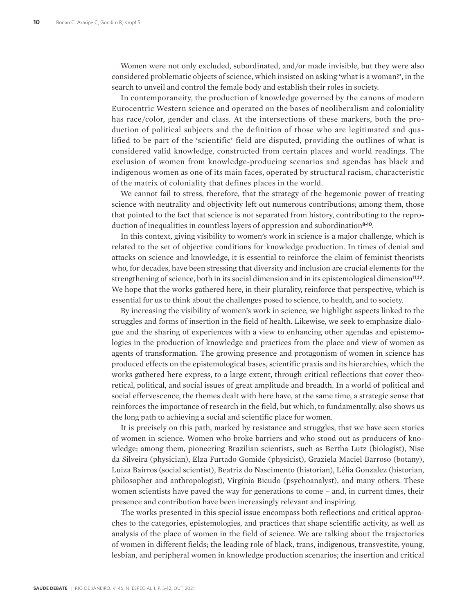Women were not only excluded, subordinated, and/or made invisible, but they were also considered problematic objects of science, which insisted on asking 'what is a woman?', in the search to unveil and control the female body and establish their roles in society.

In contemporaneity, the production of knowledge governed by the canons of modern Eurocentric Western science and operated on the bases of neoliberalism and coloniality has race/color, gender and class. At the intersections of these markers, both the production of political subjects and the definition of those who are legitimated and qualified to be part of the 'scientific' field are disputed, providing the outlines of what is considered valid knowledge, constructed from certain places and world readings. The exclusion of women from knowledge-producing scenarios and agendas has black and indigenous women as one of its main faces, operated by structural racism, characteristic of the matrix of coloniality that defines places in the world.

We cannot fail to stress, therefore, that the strategy of the hegemonic power of treating science with neutrality and objectivity left out numerous contributions; among them, those that pointed to the fact that science is not separated from history, contributing to the reproduction of inequalities in countless layers of oppression and subordination**8-10**.

In this context, giving visibility to women's work in science is a major challenge, which is related to the set of objective conditions for knowledge production. In times of denial and attacks on science and knowledge, it is essential to reinforce the claim of feminist theorists who, for decades, have been stressing that diversity and inclusion are crucial elements for the strengthening of science, both in its social dimension and in its epistemological dimension**11,12**. We hope that the works gathered here, in their plurality, reinforce that perspective, which is essential for us to think about the challenges posed to science, to health, and to society.

By increasing the visibility of women's work in science, we highlight aspects linked to the struggles and forms of insertion in the field of health. Likewise, we seek to emphasize dialogue and the sharing of experiences with a view to enhancing other agendas and epistemologies in the production of knowledge and practices from the place and view of women as agents of transformation. The growing presence and protagonism of women in science has produced effects on the epistemological bases, scientific praxis and its hierarchies, which the works gathered here express, to a large extent, through critical reflections that cover theoretical, political, and social issues of great amplitude and breadth. In a world of political and social effervescence, the themes dealt with here have, at the same time, a strategic sense that reinforces the importance of research in the field, but which, to fundamentally, also shows us the long path to achieving a social and scientific place for women.

It is precisely on this path, marked by resistance and struggles, that we have seen stories of women in science. Women who broke barriers and who stood out as producers of knowledge; among them, pioneering Brazilian scientists, such as Bertha Lutz (biologist), Nise da Silveira (physician), Elza Furtado Gomide (physicist), Graziela Maciel Barroso (botany), Luiza Bairros (social scientist), Beatriz do Nascimento (historian), Lélia Gonzalez (historian, philosopher and anthropologist), Virgínia Bicudo (psychoanalyst), and many others. These women scientists have paved the way for generations to come – and, in current times, their presence and contribution have been increasingly relevant and inspiring.

The works presented in this special issue encompass both reflections and critical approaches to the categories, epistemologies, and practices that shape scientific activity, as well as analysis of the place of women in the field of science. We are talking about the trajectories of women in different fields; the leading role of black, trans, indigenous, transvestite, young, lesbian, and peripheral women in knowledge production scenarios; the insertion and critical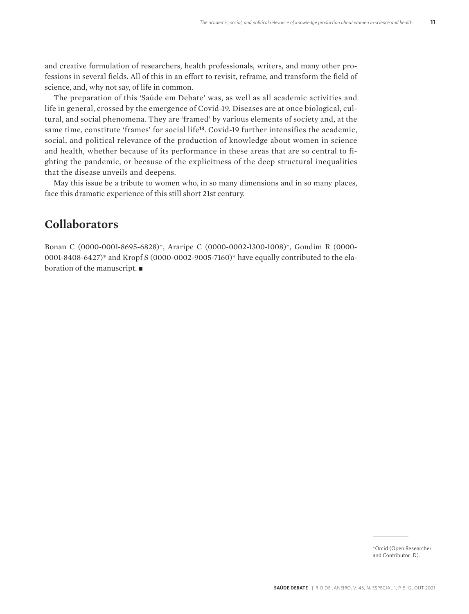and creative formulation of researchers, health professionals, writers, and many other professions in several fields. All of this in an effort to revisit, reframe, and transform the field of science, and, why not say, of life in common.

The preparation of this 'Saúde em Debate' was, as well as all academic activities and life in general, crossed by the emergence of Covid-19. Diseases are at once biological, cultural, and social phenomena. They are 'framed' by various elements of society and, at the same time, constitute 'frames' for social life**13**. Covid-19 further intensifies the academic, social, and political relevance of the production of knowledge about women in science and health, whether because of its performance in these areas that are so central to fighting the pandemic, or because of the explicitness of the deep structural inequalities that the disease unveils and deepens.

May this issue be a tribute to women who, in so many dimensions and in so many places, face this dramatic experience of this still short 21st century.

## **Collaborators**

Bonan C (0000-0001-8695-6828)\*, Araripe C (0000-0002-1300-1008)\*, Gondim R (0000- 0001-8408-6427)\* and Kropf S (0000-0002-9005-7160)\* have equally contributed to the elaboration of the manuscript.  $\blacksquare$ 

> \*Orcid (Open Researcher and Contributor ID).